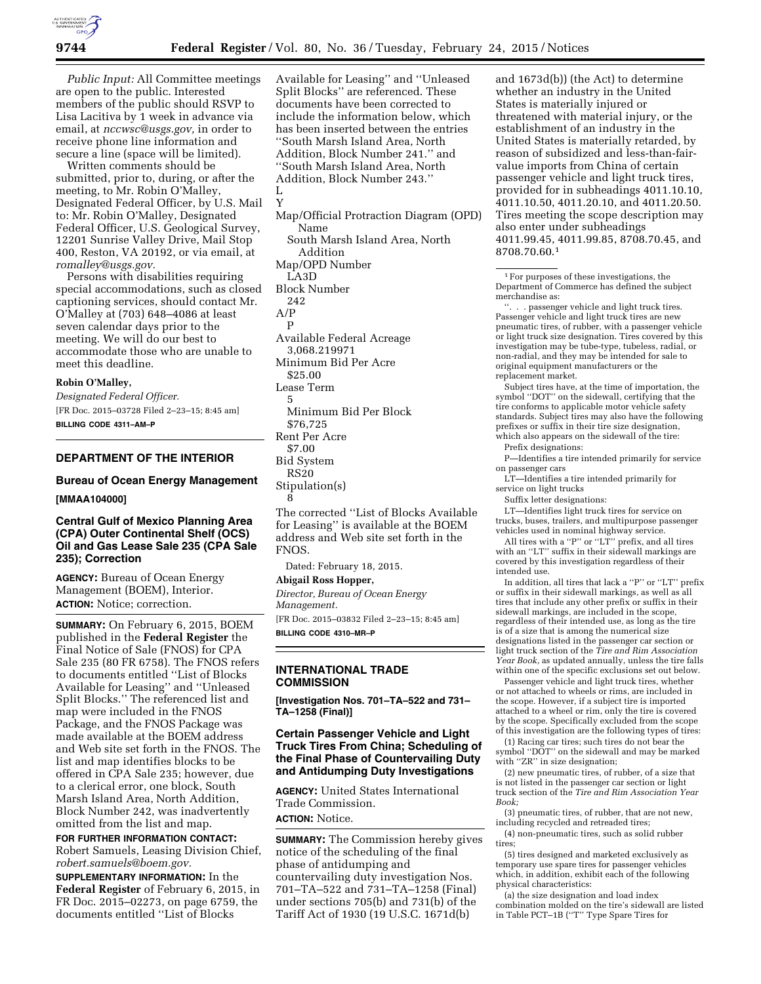

*Public Input:* All Committee meetings are open to the public. Interested members of the public should RSVP to Lisa Lacitiva by 1 week in advance via email, at *[nccwsc@usgs.gov,](mailto:nccwsc@usgs.gov)* in order to receive phone line information and secure a line (space will be limited).

Written comments should be submitted, prior to, during, or after the meeting, to Mr. Robin O'Malley, Designated Federal Officer, by U.S. Mail to: Mr. Robin O'Malley, Designated Federal Officer, U.S. Geological Survey, 12201 Sunrise Valley Drive, Mail Stop 400, Reston, VA 20192, or via email, at *[romalley@usgs.gov.](mailto:romalley@usgs.gov)* 

Persons with disabilities requiring special accommodations, such as closed captioning services, should contact Mr. O'Malley at (703) 648–4086 at least seven calendar days prior to the meeting. We will do our best to accommodate those who are unable to meet this deadline.

### **Robin O'Malley,**

*Designated Federal Officer.*  [FR Doc. 2015–03728 Filed 2–23–15; 8:45 am] **BILLING CODE 4311–AM–P** 

# **DEPARTMENT OF THE INTERIOR**

# **Bureau of Ocean Energy Management [MMAA104000]**

# **Central Gulf of Mexico Planning Area (CPA) Outer Continental Shelf (OCS) Oil and Gas Lease Sale 235 (CPA Sale 235); Correction**

**AGENCY:** Bureau of Ocean Energy Management (BOEM), Interior. **ACTION:** Notice; correction.

**SUMMARY:** On February 6, 2015, BOEM published in the **Federal Register** the Final Notice of Sale (FNOS) for CPA Sale 235 (80 FR 6758). The FNOS refers to documents entitled ''List of Blocks Available for Leasing'' and ''Unleased Split Blocks.'' The referenced list and map were included in the FNOS Package, and the FNOS Package was made available at the BOEM address and Web site set forth in the FNOS. The list and map identifies blocks to be offered in CPA Sale 235; however, due to a clerical error, one block, South Marsh Island Area, North Addition, Block Number 242, was inadvertently omitted from the list and map.

#### **FOR FURTHER INFORMATION CONTACT:**

Robert Samuels, Leasing Division Chief, *[robert.samuels@boem.gov.](mailto:robert.samuels@boem.gov)* 

**SUPPLEMENTARY INFORMATION:** In the **Federal Register** of February 6, 2015, in FR Doc. 2015–02273, on page 6759, the documents entitled ''List of Blocks

Available for Leasing'' and ''Unleased Split Blocks'' are referenced. These documents have been corrected to include the information below, which has been inserted between the entries ''South Marsh Island Area, North Addition, Block Number 241.'' and ''South Marsh Island Area, North Addition, Block Number 243.'' L Y Map/Official Protraction Diagram (OPD) Name South Marsh Island Area, North Addition Map/OPD Number LA3D Block Number 242 A/P P

Available Federal Acreage 3,068.219971 Minimum Bid Per Acre \$25.00

- Lease Term
- 5

Minimum Bid Per Block

- \$76,725
- Rent Per Acre
- \$7.00
- Bid System
- RS20
- Stipulation(s) 8

The corrected ''List of Blocks Available for Leasing'' is available at the BOEM address and Web site set forth in the FNOS.

Dated: February 18, 2015.

#### **Abigail Ross Hopper,**

*Director, Bureau of Ocean Energy Management.* 

[FR Doc. 2015–03832 Filed 2–23–15; 8:45 am] **BILLING CODE 4310–MR–P** 

### **INTERNATIONAL TRADE COMMISSION**

**[Investigation Nos. 701–TA–522 and 731– TA–1258 (Final)]** 

### **Certain Passenger Vehicle and Light Truck Tires From China; Scheduling of the Final Phase of Countervailing Duty and Antidumping Duty Investigations**

**AGENCY:** United States International Trade Commission. **ACTION:** Notice.

**SUMMARY:** The Commission hereby gives notice of the scheduling of the final phase of antidumping and countervailing duty investigation Nos. 701–TA–522 and 731–TA–1258 (Final) under sections 705(b) and 731(b) of the Tariff Act of 1930 (19 U.S.C. 1671d(b)

and 1673d(b)) (the Act) to determine whether an industry in the United States is materially injured or threatened with material injury, or the establishment of an industry in the United States is materially retarded, by reason of subsidized and less-than-fairvalue imports from China of certain passenger vehicle and light truck tires, provided for in subheadings 4011.10.10, 4011.10.50, 4011.20.10, and 4011.20.50. Tires meeting the scope description may also enter under subheadings 4011.99.45, 4011.99.85, 8708.70.45, and 8708.70.60.1

1For purposes of these investigations, the Department of Commerce has defined the subject merchandise as:

''. . . passenger vehicle and light truck tires. Passenger vehicle and light truck tires are new pneumatic tires, of rubber, with a passenger vehicle or light truck size designation. Tires covered by this investigation may be tube-type, tubeless, radial, or non-radial, and they may be intended for sale to original equipment manufacturers or the replacement market.

Subject tires have, at the time of importation, the symbol ''DOT'' on the sidewall, certifying that the tire conforms to applicable motor vehicle safety standards. Subject tires may also have the following prefixes or suffix in their tire size designation, which also appears on the sidewall of the tire:

Prefix designations:

P—Identifies a tire intended primarily for service on passenger cars

LT—Identifies a tire intended primarily for service on light trucks

Suffix letter designations:

LT—Identifies light truck tires for service on trucks, buses, trailers, and multipurpose passenger vehicles used in nominal highway service.

All tires with a ''P'' or ''LT'' prefix, and all tires with an ''LT'' suffix in their sidewall markings are covered by this investigation regardless of their intended use.

In addition, all tires that lack a ''P'' or ''LT'' prefix or suffix in their sidewall markings, as well as all tires that include any other prefix or suffix in their sidewall markings, are included in the scope, regardless of their intended use, as long as the tire is of a size that is among the numerical size designations listed in the passenger car section or light truck section of the *Tire and Rim Association Year Book,* as updated annually, unless the tire falls within one of the specific exclusions set out below.

Passenger vehicle and light truck tires, whether or not attached to wheels or rims, are included in the scope. However, if a subject tire is imported attached to a wheel or rim, only the tire is covered by the scope. Specifically excluded from the scope of this investigation are the following types of tires:

(1) Racing car tires; such tires do not bear the symbol ''DOT'' on the sidewall and may be marked with "ZR" in size designation;

(2) new pneumatic tires, of rubber, of a size that is not listed in the passenger car section or light truck section of the *Tire and Rim Association Year Book;* 

(3) pneumatic tires, of rubber, that are not new, including recycled and retreaded tires;

(4) non-pneumatic tires, such as solid rubber tires;

(5) tires designed and marketed exclusively as temporary use spare tires for passenger vehicles which, in addition, exhibit each of the following physical characteristics:

(a) the size designation and load index combination molded on the tire's sidewall are listed in Table PCT–1B (''T'' Type Spare Tires for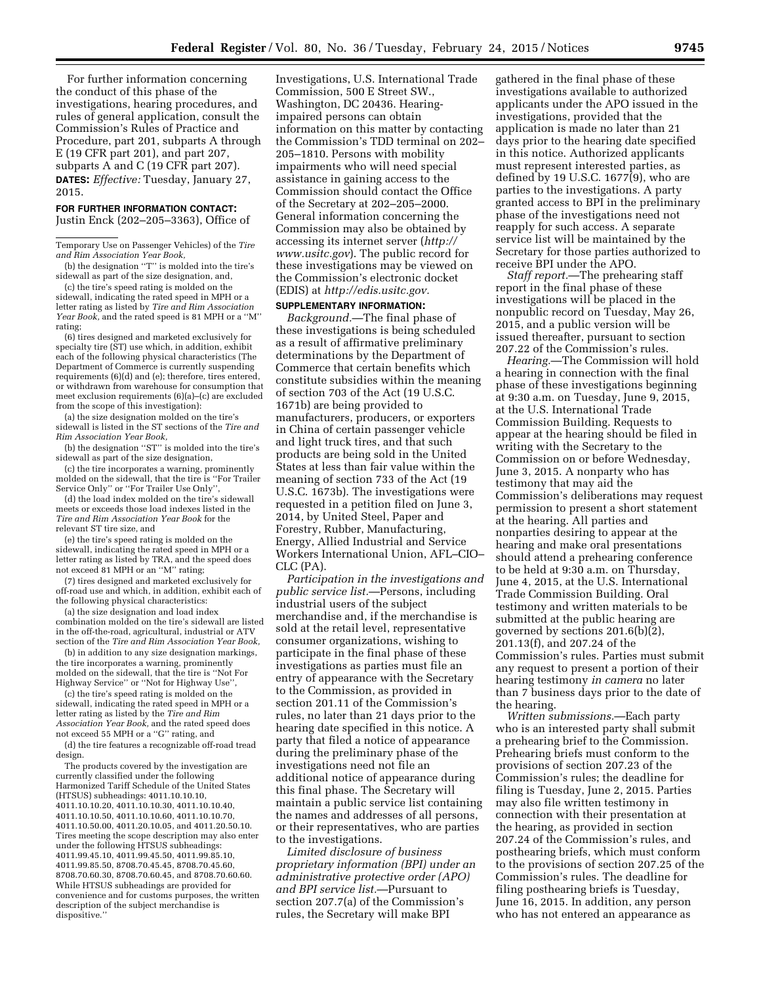For further information concerning the conduct of this phase of the investigations, hearing procedures, and rules of general application, consult the Commission's Rules of Practice and Procedure, part 201, subparts A through E (19 CFR part 201), and part 207, subparts A and C (19 CFR part 207). **DATES:** *Effective:* Tuesday, January 27, 2015.

#### **FOR FURTHER INFORMATION CONTACT:**

Justin Enck (202–205–3363), Office of

Temporary Use on Passenger Vehicles) of the *Tire and Rim Association Year Book,* 

(b) the designation ''T'' is molded into the tire's sidewall as part of the size designation, and,

(c) the tire's speed rating is molded on the sidewall, indicating the rated speed in MPH or a letter rating as listed by *Tire and Rim Association Year Book,* and the rated speed is 81 MPH or a ''M'' rating;

(6) tires designed and marketed exclusively for specialty tire (ST) use which, in addition, exhibit each of the following physical characteristics (The Department of Commerce is currently suspending requirements (6)(d) and (e); therefore, tires entered, or withdrawn from warehouse for consumption that meet exclusion requirements (6)(a)–(c) are excluded from the scope of this investigation):

(a) the size designation molded on the tire's sidewall is listed in the ST sections of the *Tire and Rim Association Year Book,* 

(b) the designation ''ST'' is molded into the tire's sidewall as part of the size designation,

(c) the tire incorporates a warning, prominently molded on the sidewall, that the tire is ''For Trailer Service Only'' or ''For Trailer Use Only'',

(d) the load index molded on the tire's sidewall meets or exceeds those load indexes listed in the *Tire and Rim Association Year Book* for the relevant ST tire size, and

(e) the tire's speed rating is molded on the sidewall, indicating the rated speed in MPH or a letter rating as listed by TRA, and the speed does not exceed 81 MPH or an ''M'' rating;

(7) tires designed and marketed exclusively for off-road use and which, in addition, exhibit each of the following physical characteristics:

(a) the size designation and load index combination molded on the tire's sidewall are listed in the off-the-road, agricultural, industrial or ATV section of the *Tire and Rim Association Year Book,* 

(b) in addition to any size designation markings, the tire incorporates a warning, prominently molded on the sidewall, that the tire is ''Not For Highway Service'' or ''Not for Highway Use'',

(c) the tire's speed rating is molded on the sidewall, indicating the rated speed in MPH or a letter rating as listed by the *Tire and Rim Association Year Book,* and the rated speed does not exceed 55 MPH or a ''G'' rating, and (d) the tire features a recognizable off-road tread design.

The products covered by the investigation are currently classified under the following Harmonized Tariff Schedule of the United States (HTSUS) subheadings: 4011.10.10.10, 4011.10.10.20, 4011.10.10.30, 4011.10.10.40, 4011.10.10.50, 4011.10.10.60, 4011.10.10.70, 4011.10.50.00, 4011.20.10.05, and 4011.20.50.10. Tires meeting the scope description may also enter under the following HTSUS subheadings: 4011.99.45.10, 4011.99.45.50, 4011.99.85.10, 4011.99.85.50, 8708.70.45.45, 8708.70.45.60, 8708.70.60.30, 8708.70.60.45, and 8708.70.60.60. While HTSUS subheadings are provided for convenience and for customs purposes, the written description of the subject merchandise is dispositive.''

Investigations, U.S. International Trade Commission, 500 E Street SW., Washington, DC 20436. Hearingimpaired persons can obtain information on this matter by contacting the Commission's TDD terminal on 202– 205–1810. Persons with mobility impairments who will need special assistance in gaining access to the Commission should contact the Office of the Secretary at 202–205–2000. General information concerning the Commission may also be obtained by accessing its internet server (*[http://](http://www.usitc.gov) [www.usitc.gov](http://www.usitc.gov)*). The public record for these investigations may be viewed on the Commission's electronic docket (EDIS) at *[http://edis.usitc.gov.](http://edis.usitc.gov)* 

### **SUPPLEMENTARY INFORMATION:**

*Background.*—The final phase of these investigations is being scheduled as a result of affirmative preliminary determinations by the Department of Commerce that certain benefits which constitute subsidies within the meaning of section 703 of the Act (19 U.S.C. 1671b) are being provided to manufacturers, producers, or exporters in China of certain passenger vehicle and light truck tires, and that such products are being sold in the United States at less than fair value within the meaning of section 733 of the Act (19 U.S.C. 1673b). The investigations were requested in a petition filed on June 3, 2014, by United Steel, Paper and Forestry, Rubber, Manufacturing, Energy, Allied Industrial and Service Workers International Union, AFL–CIO– CLC (PA).

*Participation in the investigations and public service list.*—Persons, including industrial users of the subject merchandise and, if the merchandise is sold at the retail level, representative consumer organizations, wishing to participate in the final phase of these investigations as parties must file an entry of appearance with the Secretary to the Commission, as provided in section 201.11 of the Commission's rules, no later than 21 days prior to the hearing date specified in this notice. A party that filed a notice of appearance during the preliminary phase of the investigations need not file an additional notice of appearance during this final phase. The Secretary will maintain a public service list containing the names and addresses of all persons, or their representatives, who are parties to the investigations.

*Limited disclosure of business proprietary information (BPI) under an administrative protective order (APO) and BPI service list.*—Pursuant to section 207.7(a) of the Commission's rules, the Secretary will make BPI

gathered in the final phase of these investigations available to authorized applicants under the APO issued in the investigations, provided that the application is made no later than 21 days prior to the hearing date specified in this notice. Authorized applicants must represent interested parties, as defined by 19 U.S.C. 1677(9), who are parties to the investigations. A party granted access to BPI in the preliminary phase of the investigations need not reapply for such access. A separate service list will be maintained by the Secretary for those parties authorized to receive BPI under the APO.

*Staff report.*—The prehearing staff report in the final phase of these investigations will be placed in the nonpublic record on Tuesday, May 26, 2015, and a public version will be issued thereafter, pursuant to section 207.22 of the Commission's rules.

*Hearing.*—The Commission will hold a hearing in connection with the final phase of these investigations beginning at 9:30 a.m. on Tuesday, June 9, 2015, at the U.S. International Trade Commission Building. Requests to appear at the hearing should be filed in writing with the Secretary to the Commission on or before Wednesday, June 3, 2015. A nonparty who has testimony that may aid the Commission's deliberations may request permission to present a short statement at the hearing. All parties and nonparties desiring to appear at the hearing and make oral presentations should attend a prehearing conference to be held at 9:30 a.m. on Thursday, June 4, 2015, at the U.S. International Trade Commission Building. Oral testimony and written materials to be submitted at the public hearing are governed by sections 201.6(b)(2), 201.13(f), and 207.24 of the Commission's rules. Parties must submit any request to present a portion of their hearing testimony *in camera* no later than 7 business days prior to the date of the hearing.

*Written submissions.*—Each party who is an interested party shall submit a prehearing brief to the Commission. Prehearing briefs must conform to the provisions of section 207.23 of the Commission's rules; the deadline for filing is Tuesday, June 2, 2015. Parties may also file written testimony in connection with their presentation at the hearing, as provided in section 207.24 of the Commission's rules, and posthearing briefs, which must conform to the provisions of section 207.25 of the Commission's rules. The deadline for filing posthearing briefs is Tuesday, June 16, 2015. In addition, any person who has not entered an appearance as